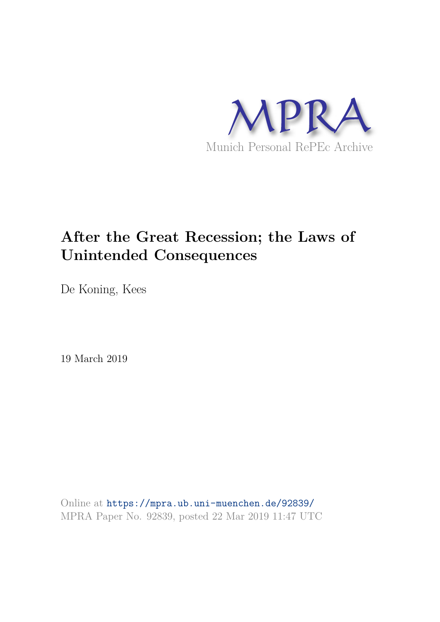

# **After the Great Recession; the Laws of Unintended Consequences**

De Koning, Kees

19 March 2019

Online at https://mpra.ub.uni-muenchen.de/92839/ MPRA Paper No. 92839, posted 22 Mar 2019 11:47 UTC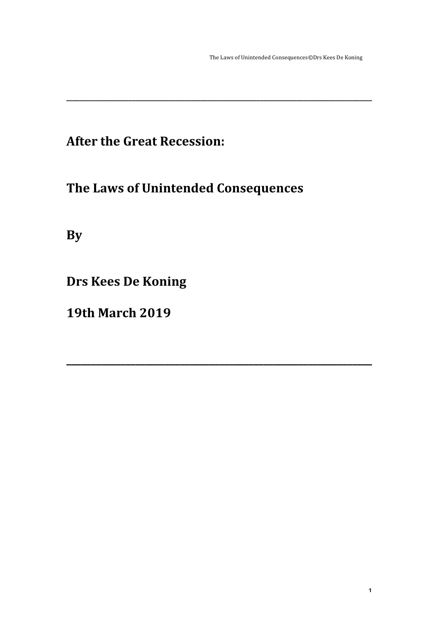The Laws of Unintended Consequences©Drs Kees De Koning

## **After the Great Recession:**

## **The Laws of Unintended Consequences**

**\_\_\_\_\_\_\_\_\_\_\_\_\_\_\_\_\_\_\_\_\_\_\_\_\_\_\_\_\_\_\_\_\_\_\_\_\_\_\_\_\_\_\_\_\_\_\_\_\_\_\_\_\_\_\_\_\_\_\_\_\_\_\_\_\_\_\_\_\_\_\_\_\_\_\_\_\_\_\_\_\_\_\_\_\_\_\_\_\_\_\_\_\_**

**\_\_\_\_\_\_\_\_\_\_\_\_\_\_\_\_\_\_\_\_\_\_\_\_\_\_\_\_\_\_\_\_\_\_\_\_\_\_\_\_\_\_\_\_\_\_\_\_\_\_\_\_\_\_\_\_\_\_\_\_\_\_**

**By**

**Drs Kees De Koning** 

**19th March 2019**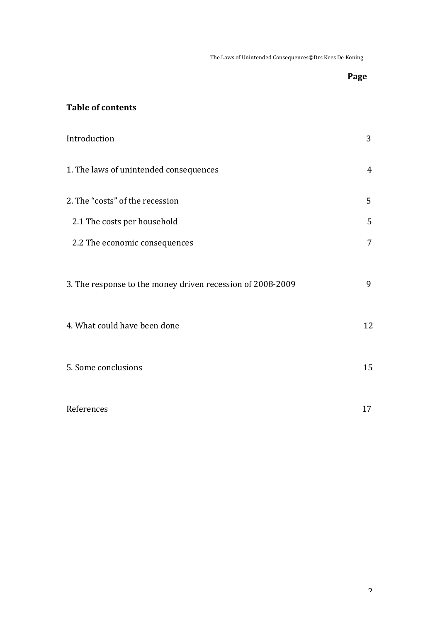The Laws of Unintended Consequences©Drs Kees De Koning

## Page

## **Table of contents**

| Introduction                                               | 3              |
|------------------------------------------------------------|----------------|
| 1. The laws of unintended consequences                     | $\overline{4}$ |
| 2. The "costs" of the recession                            | 5              |
| 2.1 The costs per household                                | 5              |
| 2.2 The economic consequences                              | $\overline{7}$ |
| 3. The response to the money driven recession of 2008-2009 | 9              |
| 4. What could have been done                               | 12             |
| 5. Some conclusions                                        | 15             |
| References                                                 | 17             |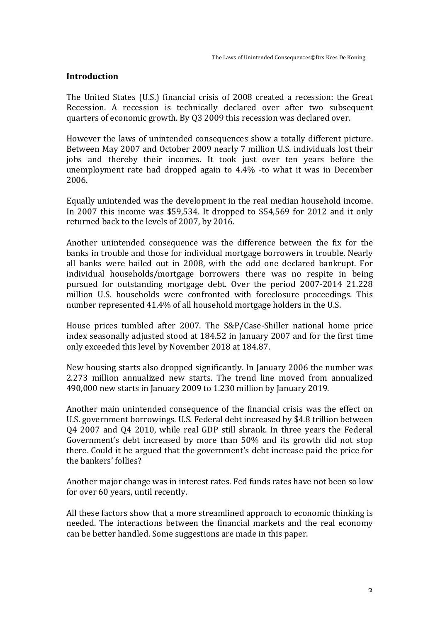### **Introduction**

The United States (U.S.) financial crisis of 2008 created a recession: the Great Recession. A recession is technically declared over after two subsequent quarters of economic growth. By Q3 2009 this recession was declared over.

However the laws of unintended consequences show a totally different picture. Between May 2007 and October 2009 nearly 7 million U.S. individuals lost their jobs and thereby their incomes. It took just over ten vears before the unemployment rate had dropped again to  $4.4\%$  -to what it was in December 2006.

Equally unintended was the development in the real median household income. In 2007 this income was \$59,534. It dropped to  $$54,569$  for 2012 and it only returned back to the levels of 2007, by 2016.

Another unintended consequence was the difference between the fix for the banks in trouble and those for individual mortgage borrowers in trouble. Nearly all banks were bailed out in 2008, with the odd one declared bankrupt. For individual households/mortgage borrowers there was no respite in being pursued for outstanding mortgage debt. Over the period 2007-2014 21.228 million U.S. households were confronted with foreclosure proceedings. This number represented 41.4% of all household mortgage holders in the U.S.

House prices tumbled after 2007. The S&P/Case-Shiller national home price index seasonally adjusted stood at 184.52 in January 2007 and for the first time only exceeded this level by November 2018 at 184.87.

New housing starts also dropped significantly. In January 2006 the number was 2.273 million annualized new starts. The trend line moved from annualized 490,000 new starts in January 2009 to 1.230 million by January 2019.

Another main unintended consequence of the financial crisis was the effect on U.S. government borrowings. U.S. Federal debt increased by \$4.8 trillion between Q4 2007 and Q4 2010, while real GDP still shrank. In three years the Federal Government's debt increased by more than 50% and its growth did not stop there. Could it be argued that the government's debt increase paid the price for the bankers' follies?

Another major change was in interest rates. Fed funds rates have not been so low for over 60 years, until recently.

All these factors show that a more streamlined approach to economic thinking is needed. The interactions between the financial markets and the real economy can be better handled. Some suggestions are made in this paper.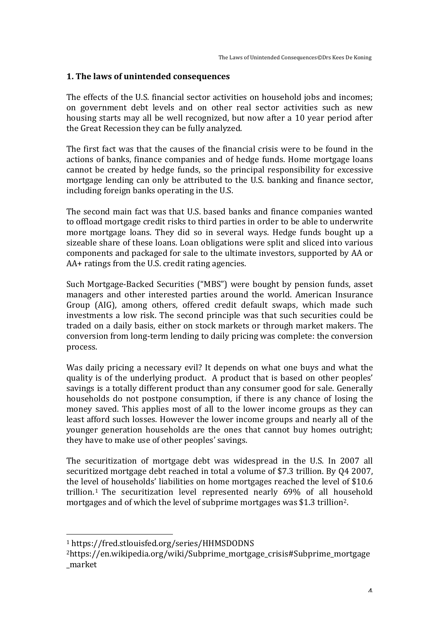#### **1.** The laws of unintended consequences

The effects of the U.S. financial sector activities on household jobs and incomes; on government debt levels and on other real sector activities such as new housing starts may all be well recognized, but now after a 10 year period after the Great Recession they can be fully analyzed.

The first fact was that the causes of the financial crisis were to be found in the actions of banks, finance companies and of hedge funds. Home mortgage loans cannot be created by hedge funds, so the principal responsibility for excessive mortgage lending can only be attributed to the U.S. banking and finance sector, including foreign banks operating in the U.S.

The second main fact was that U.S. based banks and finance companies wanted to offload mortgage credit risks to third parties in order to be able to underwrite more mortgage loans. They did so in several ways. Hedge funds bought up a sizeable share of these loans. Loan obligations were split and sliced into various components and packaged for sale to the ultimate investors, supported by AA or  $AA+$  ratings from the U.S. credit rating agencies.

Such Mortgage-Backed Securities ("MBS") were bought by pension funds, asset managers and other interested parties around the world. American Insurance Group (AIG), among others, offered credit default swaps, which made such investments a low risk. The second principle was that such securities could be traded on a daily basis, either on stock markets or through market makers. The conversion from long-term lending to daily pricing was complete: the conversion process.

Was daily pricing a necessary evil? It depends on what one buys and what the quality is of the underlying product. A product that is based on other peoples' savings is a totally different product than any consumer good for sale. Generally households do not postpone consumption, if there is any chance of losing the money saved. This applies most of all to the lower income groups as they can least afford such losses. However the lower income groups and nearly all of the younger generation households are the ones that cannot buy homes outright; they have to make use of other peoples' savings.

The securitization of mortgage debt was widespread in the U.S. In 2007 all securitized mortgage debt reached in total a volume of \$7.3 trillion. By Q4 2007, the level of households' liabilities on home mortgages reached the level of \$10.6 trillion.<sup>1</sup> The securitization level represented nearly 69% of all household mortgages and of which the level of subprime mortgages was \$1.3 trillion<sup>2</sup>.

<sup>1</sup> https://fred.stlouisfed.org/series/HHMSDODNS

<sup>2</sup>https://en.wikipedia.org/wiki/Subprime\_mortgage\_crisis#Subprime\_mortgage \_market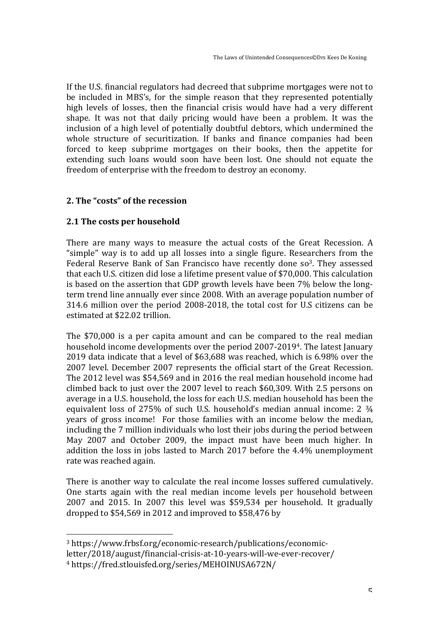If the U.S. financial regulators had decreed that subprime mortgages were not to be included in MBS's, for the simple reason that they represented potentially high levels of losses, then the financial crisis would have had a very different shape. It was not that daily pricing would have been a problem. It was the inclusion of a high level of potentially doubtful debtors, which undermined the whole structure of securitization. If banks and finance companies had been forced to keep subprime mortgages on their books, then the appetite for extending such loans would soon have been lost. One should not equate the freedom of enterprise with the freedom to destroy an economy.

## **2.** The "costs" of the recession

## **2.1 The costs per household**

There are many ways to measure the actual costs of the Great Recession. A "simple" way is to add up all losses into a single figure. Researchers from the Federal Reserve Bank of San Francisco have recently done  $so^3$ . They assessed that each U.S. citizen did lose a lifetime present value of \$70,000. This calculation is based on the assertion that GDP growth levels have been 7% below the longterm trend line annually ever since 2008. With an average population number of 314.6 million over the period 2008-2018, the total cost for U.S citizens can be estimated at \$22.02 trillion.

The \$70,000 is a per capita amount and can be compared to the real median household income developments over the period 2007-2019<sup>4</sup>. The latest January 2019 data indicate that a level of \$63,688 was reached, which is 6.98% over the 2007 level. December 2007 represents the official start of the Great Recession. The 2012 level was \$54,569 and in 2016 the real median household income had climbed back to just over the 2007 level to reach \$60,309. With 2.5 persons on average in a U.S. household, the loss for each U.S. median household has been the equivalent loss of 275% of such U.S. household's median annual income:  $2\frac{3}{4}$ years of gross income! For those families with an income below the median, including the 7 million individuals who lost their jobs during the period between May 2007 and October 2009, the impact must have been much higher. In addition the loss in jobs lasted to March 2017 before the 4.4% unemployment rate was reached again.

There is another way to calculate the real income losses suffered cumulatively. One starts again with the real median income levels per household between 2007 and 2015. In 2007 this level was \$59,534 per household. It gradually dropped to  $$54,569$  in 2012 and improved to  $$58,476$  by

 <sup>3</sup> https://www.frbsf.org/economic-research/publications/economicletter/2018/august/financial-crisis-at-10-years-will-we-ever-recover/ 4 https://fred.stlouisfed.org/series/MEHOINUSA672N/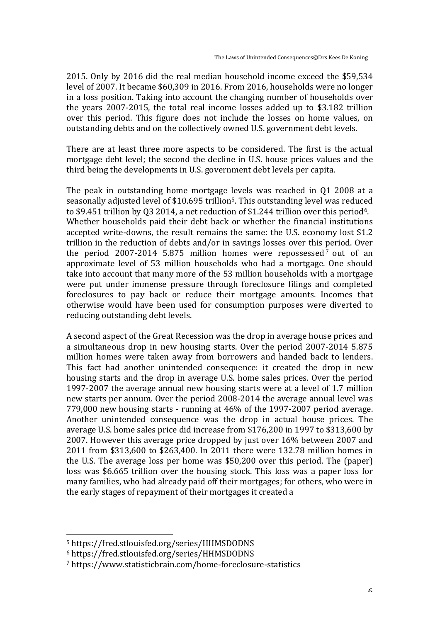2015. Only by 2016 did the real median household income exceed the \$59,534 level of 2007. It became \$60,309 in 2016. From 2016, households were no longer in a loss position. Taking into account the changing number of households over the years  $2007-2015$ , the total real income losses added up to \$3.182 trillion over this period. This figure does not include the losses on home values, on outstanding debts and on the collectively owned U.S. government debt levels.

There are at least three more aspects to be considered. The first is the actual mortgage debt level; the second the decline in U.S. house prices values and the third being the developments in U.S. government debt levels per capita.

The peak in outstanding home mortgage levels was reached in  $01\ 2008$  at a seasonally adjusted level of \$10.695 trillion<sup>5</sup>. This outstanding level was reduced to \$9.451 trillion by Q3 2014, a net reduction of \$1.244 trillion over this period<sup>6</sup>. Whether households paid their debt back or whether the financial institutions accepted write-downs, the result remains the same: the U.S. economy lost \$1.2 trillion in the reduction of debts and/or in savings losses over this period. Over the period  $2007-2014$  5.875 million homes were repossessed<sup>7</sup> out of an approximate level of 53 million households who had a mortgage. One should take into account that many more of the 53 million households with a mortgage were put under immense pressure through foreclosure filings and completed foreclosures to pay back or reduce their mortgage amounts. Incomes that otherwise would have been used for consumption purposes were diverted to reducing outstanding debt levels.

A second aspect of the Great Recession was the drop in average house prices and a simultaneous drop in new housing starts. Over the period 2007-2014 5.875 million homes were taken away from borrowers and handed back to lenders. This fact had another unintended consequence: it created the drop in new housing starts and the drop in average U.S. home sales prices. Over the period 1997-2007 the average annual new housing starts were at a level of 1.7 million new starts per annum. Over the period 2008-2014 the average annual level was 779,000 new housing starts - running at  $46\%$  of the 1997-2007 period average. Another unintended consequence was the drop in actual house prices. The average U.S. home sales price did increase from \$176,200 in 1997 to \$313,600 by 2007. However this average price dropped by just over 16% between 2007 and 2011 from \$313,600 to \$263,400. In 2011 there were 132.78 million homes in the U.S. The average loss per home was  $$50,200$  over this period. The (paper) loss was \$6.665 trillion over the housing stock. This loss was a paper loss for many families, who had already paid off their mortgages; for others, who were in the early stages of repayment of their mortgages it created a

<sup>5</sup> https://fred.stlouisfed.org/series/HHMSDODNS

<sup>6</sup> https://fred.stlouisfed.org/series/HHMSDODNS

<sup>7</sup> https://www.statisticbrain.com/home-foreclosure-statistics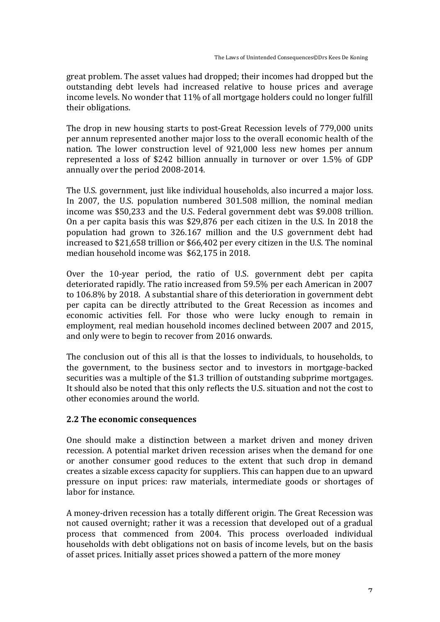great problem. The asset values had dropped; their incomes had dropped but the outstanding debt levels had increased relative to house prices and average income levels. No wonder that 11% of all mortgage holders could no longer fulfill their obligations.

The drop in new housing starts to post-Great Recession levels of 779,000 units per annum represented another major loss to the overall economic health of the nation. The lower construction level of 921,000 less new homes per annum represented a loss of \$242 billion annually in turnover or over 1.5% of GDP annually over the period 2008-2014.

The U.S. government, just like individual households, also incurred a major loss. In 2007, the U.S. population numbered 301.508 million, the nominal median income was \$50,233 and the U.S. Federal government debt was \$9.008 trillion. On a per capita basis this was \$29,876 per each citizen in the U.S. In 2018 the population had grown to 326.167 million and the U.S government debt had increased to \$21,658 trillion or \$66,402 per every citizen in the U.S. The nominal median household income was \$62,175 in 2018.

Over the 10-year period, the ratio of U.S. government debt per capita deteriorated rapidly. The ratio increased from 59.5% per each American in 2007 to 106.8% by 2018. A substantial share of this deterioration in government debt per capita can be directly attributed to the Great Recession as incomes and economic activities fell. For those who were lucky enough to remain in employment, real median household incomes declined between 2007 and 2015, and only were to begin to recover from 2016 onwards.

The conclusion out of this all is that the losses to individuals, to households, to the government, to the business sector and to investors in mortgage-backed securities was a multiple of the \$1.3 trillion of outstanding subprime mortgages. It should also be noted that this only reflects the U.S. situation and not the cost to other economies around the world.

#### **2.2** The economic consequences

One should make a distinction between a market driven and money driven recession. A potential market driven recession arises when the demand for one or another consumer good reduces to the extent that such drop in demand creates a sizable excess capacity for suppliers. This can happen due to an upward pressure on input prices: raw materials, intermediate goods or shortages of labor for instance.

A money-driven recession has a totally different origin. The Great Recession was not caused overnight; rather it was a recession that developed out of a gradual process that commenced from 2004. This process overloaded individual households with debt obligations not on basis of income levels, but on the basis of asset prices. Initially asset prices showed a pattern of the more money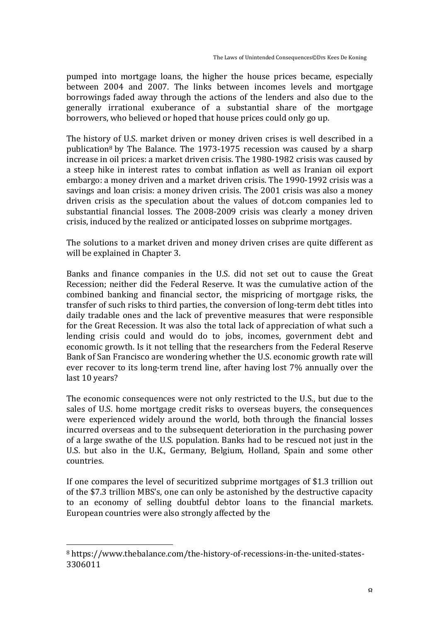pumped into mortgage loans, the higher the house prices became, especially between 2004 and 2007. The links between incomes levels and mortgage borrowings faded away through the actions of the lenders and also due to the generally irrational exuberance of a substantial share of the mortgage borrowers, who believed or hoped that house prices could only go up.

The history of U.S. market driven or money driven crises is well described in a publication<sup>8</sup> by The Balance. The 1973-1975 recession was caused by a sharp increase in oil prices: a market driven crisis. The 1980-1982 crisis was caused by a steep hike in interest rates to combat inflation as well as Iranian oil export embargo: a money driven and a market driven crisis. The 1990-1992 crisis was a savings and loan crisis: a money driven crisis. The 2001 crisis was also a money driven crisis as the speculation about the values of dot.com companies led to substantial financial losses. The 2008-2009 crisis was clearly a money driven crisis, induced by the realized or anticipated losses on subprime mortgages.

The solutions to a market driven and money driven crises are quite different as will be explained in Chapter 3.

Banks and finance companies in the U.S. did not set out to cause the Great Recession; neither did the Federal Reserve. It was the cumulative action of the combined banking and financial sector, the mispricing of mortgage risks, the transfer of such risks to third parties, the conversion of long-term debt titles into daily tradable ones and the lack of preventive measures that were responsible for the Great Recession. It was also the total lack of appreciation of what such a lending crisis could and would do to jobs, incomes, government debt and economic growth. Is it not telling that the researchers from the Federal Reserve Bank of San Francisco are wondering whether the U.S. economic growth rate will ever recover to its long-term trend line, after having lost 7% annually over the last 10 years?

The economic consequences were not only restricted to the U.S., but due to the sales of U.S. home mortgage credit risks to overseas buyers, the consequences were experienced widely around the world, both through the financial losses incurred overseas and to the subsequent deterioration in the purchasing power of a large swathe of the U.S. population. Banks had to be rescued not just in the U.S. but also in the U.K., Germany, Belgium, Holland, Spain and some other countries.

If one compares the level of securitized subprime mortgages of \$1.3 trillion out of the \$7.3 trillion MBS's, one can only be astonished by the destructive capacity to an economy of selling doubtful debtor loans to the financial markets. European countries were also strongly affected by the

<sup>&</sup>lt;sup>8</sup> https://www.thebalance.com/the-history-of-recessions-in-the-united-states-3306011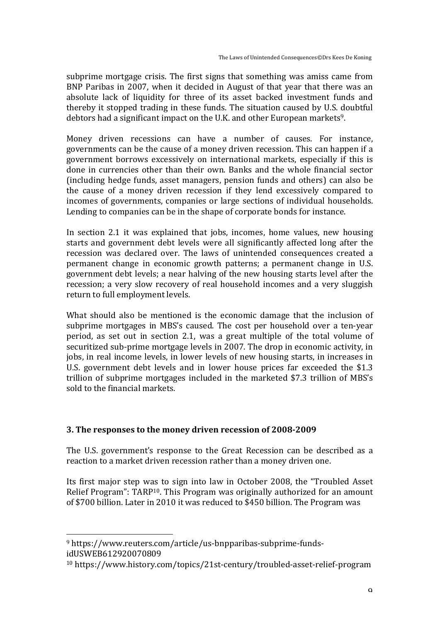subprime mortgage crisis. The first signs that something was amiss came from BNP Paribas in 2007, when it decided in August of that year that there was an absolute lack of liquidity for three of its asset backed investment funds and thereby it stopped trading in these funds. The situation caused by U.S. doubtful debtors had a significant impact on the U.K. and other European markets<sup>9</sup>.

Money driven recessions can have a number of causes. For instance, governments can be the cause of a money driven recession. This can happen if a government borrows excessively on international markets, especially if this is done in currencies other than their own. Banks and the whole financial sector (including hedge funds, asset managers, pension funds and others) can also be the cause of a money driven recession if they lend excessively compared to incomes of governments, companies or large sections of individual households. Lending to companies can be in the shape of corporate bonds for instance.

In section 2.1 it was explained that jobs, incomes, home values, new housing starts and government debt levels were all significantly affected long after the recession was declared over. The laws of unintended consequences created a permanent change in economic growth patterns; a permanent change in U.S. government debt levels; a near halving of the new housing starts level after the recession; a very slow recovery of real household incomes and a very sluggish return to full employment levels.

What should also be mentioned is the economic damage that the inclusion of subprime mortgages in MBS's caused. The cost per household over a ten-year period, as set out in section 2.1, was a great multiple of the total volume of securitized sub-prime mortgage levels in 2007. The drop in economic activity, in jobs, in real income levels, in lower levels of new housing starts, in increases in U.S. government debt levels and in lower house prices far exceeded the \$1.3 trillion of subprime mortgages included in the marketed \$7.3 trillion of MBS's sold to the financial markets.

## **3.** The responses to the money driven recession of 2008-2009

The U.S. government's response to the Great Recession can be described as a reaction to a market driven recession rather than a money driven one.

Its first major step was to sign into law in October 2008, the "Troubled Asset" Relief Program":  $TARP^{10}$ . This Program was originally authorized for an amount of \$700 billion. Later in 2010 it was reduced to \$450 billion. The Program was

 <sup>9</sup> https://www.reuters.com/article/us-bnpparibas-subprime-fundsidUSWEB612920070809

<sup>10</sup> https://www.history.com/topics/21st-century/troubled-asset-relief-program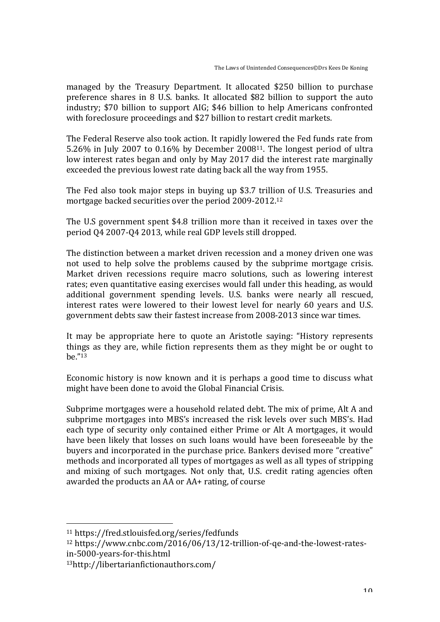managed by the Treasury Department. It allocated \$250 billion to purchase preference shares in 8 U.S. banks. It allocated \$82 billion to support the auto industry; \$70 billion to support AIG; \$46 billion to help Americans confronted with foreclosure proceedings and \$27 billion to restart credit markets.

The Federal Reserve also took action. It rapidly lowered the Fed funds rate from 5.26% in July 2007 to  $0.16\%$  by December 2008<sup>11</sup>. The longest period of ultra low interest rates began and only by May 2017 did the interest rate marginally exceeded the previous lowest rate dating back all the way from 1955.

The Fed also took major steps in buving up \$3.7 trillion of U.S. Treasuries and mortgage backed securities over the period 2009-2012.<sup>12</sup>

The U.S government spent \$4.8 trillion more than it received in taxes over the period Q4 2007-Q4 2013, while real GDP levels still dropped.

The distinction between a market driven recession and a money driven one was not used to help solve the problems caused by the subprime mortgage crisis. Market driven recessions require macro solutions, such as lowering interest rates; even quantitative easing exercises would fall under this heading, as would additional government spending levels. U.S. banks were nearly all rescued, interest rates were lowered to their lowest level for nearly 60 years and U.S. government debts saw their fastest increase from 2008-2013 since war times.

It may be appropriate here to quote an Aristotle saying: "History represents things as they are, while fiction represents them as they might be or ought to be."<sup>13</sup>

Economic history is now known and it is perhaps a good time to discuss what might have been done to avoid the Global Financial Crisis.

Subprime mortgages were a household related debt. The mix of prime, Alt A and subprime mortgages into MBS's increased the risk levels over such MBS's. Had each type of security only contained either Prime or Alt A mortgages, it would have been likely that losses on such loans would have been foreseeable by the buyers and incorporated in the purchase price. Bankers devised more "creative" methods and incorporated all types of mortgages as well as all types of stripping and mixing of such mortgages. Not only that, U.S. credit rating agencies often awarded the products an AA or  $AA+$  rating, of course

<sup>11</sup> https://fred.stlouisfed.org/series/fedfunds

<sup>&</sup>lt;sup>12</sup> https://www.cnbc.com/2016/06/13/12-trillion-of-qe-and-the-lowest-ratesin-5000-years-for-this.html 

<sup>13</sup>http://libertarianfictionauthors.com/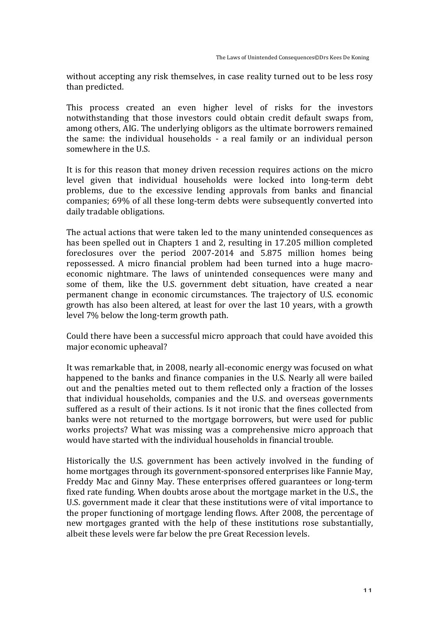without accepting any risk themselves, in case reality turned out to be less rosy than predicted.

This process created an even higher level of risks for the investors notwithstanding that those investors could obtain credit default swaps from, among others, AIG. The underlying obligors as the ultimate borrowers remained the same: the individual households  $-$  a real family or an individual person somewhere in the U.S.

It is for this reason that money driven recession requires actions on the micro level given that individual households were locked into long-term debt problems, due to the excessive lending approvals from banks and financial companies; 69% of all these long-term debts were subsequently converted into daily tradable obligations.

The actual actions that were taken led to the many unintended consequences as has been spelled out in Chapters 1 and 2, resulting in 17.205 million completed foreclosures over the period 2007-2014 and 5.875 million homes being repossessed. A micro financial problem had been turned into a huge macroeconomic nightmare. The laws of unintended consequences were many and some of them, like the U.S. government debt situation, have created a near permanent change in economic circumstances. The trajectory of U.S. economic growth has also been altered, at least for over the last 10 years, with a growth level 7% below the long-term growth path.

Could there have been a successful micro approach that could have avoided this major economic upheaval?

It was remarkable that, in 2008, nearly all-economic energy was focused on what happened to the banks and finance companies in the U.S. Nearly all were bailed out and the penalties meted out to them reflected only a fraction of the losses that individual households, companies and the U.S. and overseas governments suffered as a result of their actions. Is it not ironic that the fines collected from banks were not returned to the mortgage borrowers, but were used for public works projects? What was missing was a comprehensive micro approach that would have started with the individual households in financial trouble.

Historically the U.S. government has been actively involved in the funding of home mortgages through its government-sponsored enterprises like Fannie May, Freddy Mac and Ginny May. These enterprises offered guarantees or long-term fixed rate funding. When doubts arose about the mortgage market in the U.S., the U.S. government made it clear that these institutions were of vital importance to the proper functioning of mortgage lending flows. After 2008, the percentage of new mortgages granted with the help of these institutions rose substantially, albeit these levels were far below the pre Great Recession levels.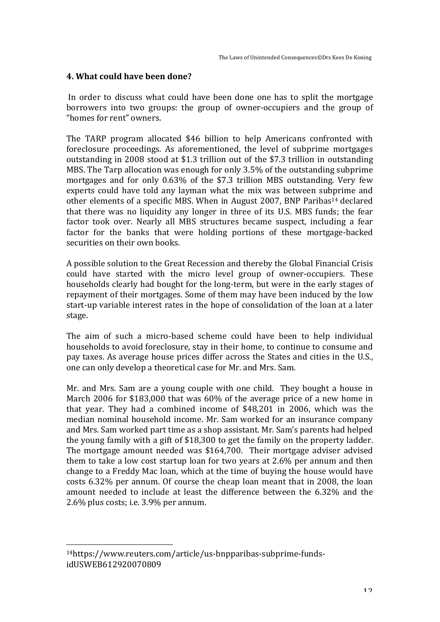### **4. What could have been done?**

In order to discuss what could have been done one has to split the mortgage borrowers into two groups: the group of owner-occupiers and the group of "homes for rent" owners.

The TARP program allocated \$46 billion to help Americans confronted with foreclosure proceedings. As aforementioned, the level of subprime mortgages outstanding in 2008 stood at \$1.3 trillion out of the \$7.3 trillion in outstanding MBS. The Tarp allocation was enough for only 3.5% of the outstanding subprime mortgages and for only  $0.63\%$  of the \$7.3 trillion MBS outstanding. Very few experts could have told any layman what the mix was between subprime and other elements of a specific MBS. When in August 2007, BNP Paribas<sup>14</sup> declared that there was no liquidity any longer in three of its U.S. MBS funds; the fear factor took over. Nearly all MBS structures became suspect, including a fear factor for the banks that were holding portions of these mortgage-backed securities on their own books.

A possible solution to the Great Recession and thereby the Global Financial Crisis could have started with the micro level group of owner-occupiers. These households clearly had bought for the long-term, but were in the early stages of repayment of their mortgages. Some of them may have been induced by the low start-up variable interest rates in the hope of consolidation of the loan at a later stage.

The aim of such a micro-based scheme could have been to help individual households to avoid foreclosure, stay in their home, to continue to consume and pay taxes. As average house prices differ across the States and cities in the U.S., one can only develop a theoretical case for Mr. and Mrs. Sam.

Mr. and Mrs. Sam are a young couple with one child. They bought a house in March 2006 for \$183,000 that was  $60\%$  of the average price of a new home in that year. They had a combined income of  $$48,201$  in 2006, which was the median nominal household income. Mr. Sam worked for an insurance company and Mrs. Sam worked part time as a shop assistant. Mr. Sam's parents had helped the young family with a gift of  $$18,300$  to get the family on the property ladder. The mortgage amount needed was \$164,700. Their mortgage adviser advised them to take a low cost startup loan for two years at  $2.6\%$  per annum and then change to a Freddy Mac loan, which at the time of buying the house would have costs 6.32% per annum. Of course the cheap loan meant that in 2008, the loan amount needed to include at least the difference between the 6.32% and the  $2.6\%$  plus costs; i.e.  $3.9\%$  per annum.

<sup>14</sup>https://www.reuters.com/article/us-bnpparibas-subprime-fundsidUSWEB612920070809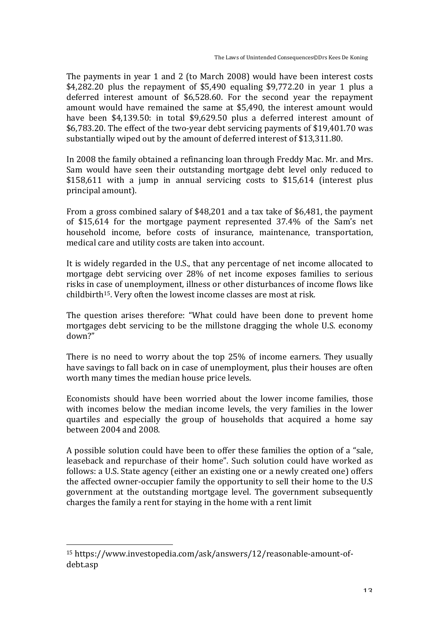The payments in year 1 and 2 (to March 2008) would have been interest costs \$4,282.20 plus the repayment of \$5,490 equaling \$9,772.20 in year 1 plus a deferred interest amount of  $$6,528.60$ . For the second year the repayment amount would have remained the same at \$5.490, the interest amount would have been \$4,139.50: in total \$9,629.50 plus a deferred interest amount of \$6,783.20. The effect of the two-year debt servicing payments of \$19,401.70 was substantially wiped out by the amount of deferred interest of \$13,311.80.

In 2008 the family obtained a refinancing loan through Freddy Mac. Mr. and Mrs. Sam would have seen their outstanding mortgage debt level only reduced to  $$158,611$  with a jump in annual servicing costs to  $$15,614$  (interest plus) principal amount).

From a gross combined salary of \$48,201 and a tax take of \$6,481, the payment of \$15,614 for the mortgage payment represented 37.4% of the Sam's net household income, before costs of insurance, maintenance, transportation, medical care and utility costs are taken into account.

It is widely regarded in the U.S., that any percentage of net income allocated to mortgage debt servicing over 28% of net income exposes families to serious risks in case of unemployment, illness or other disturbances of income flows like childbirth<sup>15</sup>. Very often the lowest income classes are most at risk.

The question arises therefore: "What could have been done to prevent home mortgages debt servicing to be the millstone dragging the whole U.S. economy down?"

There is no need to worry about the top 25% of income earners. They usually have savings to fall back on in case of unemployment, plus their houses are often worth many times the median house price levels.

Economists should have been worried about the lower income families, those with incomes below the median income levels, the very families in the lower quartiles and especially the group of households that acquired a home say between 2004 and 2008.

A possible solution could have been to offer these families the option of a "sale, leaseback and repurchase of their home". Such solution could have worked as follows: a U.S. State agency (either an existing one or a newly created one) offers the affected owner-occupier family the opportunity to sell their home to the U.S government at the outstanding mortgage level. The government subsequently charges the family a rent for staying in the home with a rent limit

<sup>&</sup>lt;sup>15</sup> https://www.investopedia.com/ask/answers/12/reasonable-amount-ofdebt.asp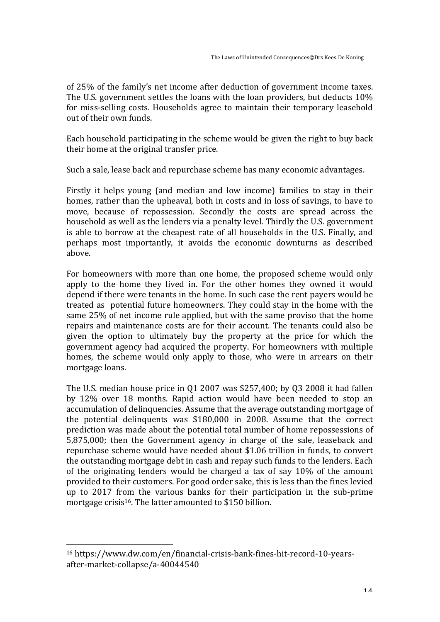of 25% of the family's net income after deduction of government income taxes. The U.S. government settles the loans with the loan providers, but deducts 10% for miss-selling costs. Households agree to maintain their temporary leasehold out of their own funds.

Each household participating in the scheme would be given the right to buy back their home at the original transfer price.

Such a sale, lease back and repurchase scheme has many economic advantages.

Firstly it helps young (and median and low income) families to stay in their homes, rather than the upheaval, both in costs and in loss of savings, to have to move, because of repossession. Secondly the costs are spread across the household as well as the lenders via a penalty level. Thirdly the U.S. government is able to borrow at the cheapest rate of all households in the U.S. Finally, and perhaps most importantly, it avoids the economic downturns as described above.

For homeowners with more than one home, the proposed scheme would only apply to the home they lived in. For the other homes they owned it would depend if there were tenants in the home. In such case the rent payers would be treated as potential future homeowners. They could stay in the home with the same 25% of net income rule applied, but with the same proviso that the home repairs and maintenance costs are for their account. The tenants could also be given the option to ultimately buy the property at the price for which the government agency had acquired the property. For homeowners with multiple homes, the scheme would only apply to those, who were in arrears on their mortgage loans.

The U.S. median house price in  $01\,2007$  was \$257,400; by  $03\,2008$  it had fallen by 12% over 18 months. Rapid action would have been needed to stop an accumulation of delinquencies. Assume that the average outstanding mortgage of the potential delinguents was  $$180,000$  in 2008. Assume that the correct prediction was made about the potential total number of home repossessions of 5,875,000; then the Government agency in charge of the sale, leaseback and repurchase scheme would have needed about \$1.06 trillion in funds, to convert the outstanding mortgage debt in cash and repay such funds to the lenders. Each of the originating lenders would be charged a tax of say  $10\%$  of the amount provided to their customers. For good order sake, this is less than the fines levied up to 2017 from the various banks for their participation in the sub-prime mortgage crisis<sup>16</sup>. The latter amounted to \$150 billion.

<sup>&</sup>lt;sup>16</sup> https://www.dw.com/en/financial-crisis-bank-fines-hit-record-10-yearsafter-market-collapse/a-40044540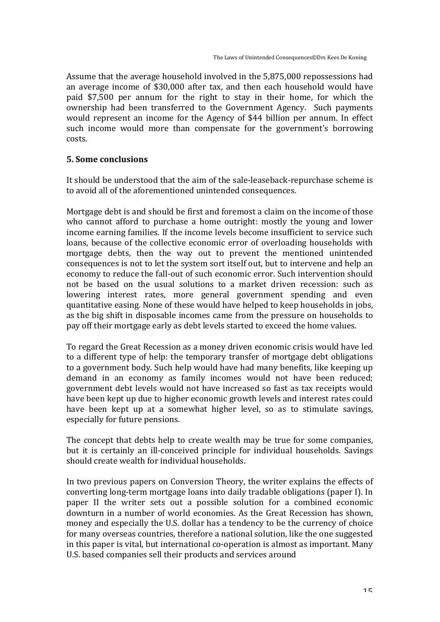Assume that the average household involved in the 5,875,000 repossessions had an average income of \$30,000 after tax, and then each household would have paid \$7,500 per annum for the right to stay in their home, for which the ownership had been transferred to the Government Agency. Such payments would represent an income for the Agency of \$44 billion per annum. In effect such income would more than compensate for the government's borrowing costs.

#### **5. Some conclusions**

It should be understood that the aim of the sale-leaseback-repurchase scheme is to avoid all of the aforementioned unintended consequences.

Mortgage debt is and should be first and foremost a claim on the income of those who cannot afford to purchase a home outright: mostly the young and lower income earning families. If the income levels become insufficient to service such loans, because of the collective economic error of overloading households with mortgage debts, then the way out to prevent the mentioned unintended consequences is not to let the system sort itself out, but to intervene and help an economy to reduce the fall-out of such economic error. Such intervention should not be based on the usual solutions to a market driven recession: such as lowering interest rates, more general government spending and even quantitative easing. None of these would have helped to keep households in jobs, as the big shift in disposable incomes came from the pressure on households to pay off their mortgage early as debt levels started to exceed the home values.

To regard the Great Recession as a money driven economic crisis would have led to a different type of help: the temporary transfer of mortgage debt obligations to a government body. Such help would have had many benefits, like keeping up demand in an economy as family incomes would not have been reduced; government debt levels would not have increased so fast as tax receipts would have been kept up due to higher economic growth levels and interest rates could have been kept up at a somewhat higher level, so as to stimulate savings, especially for future pensions.

The concept that debts help to create wealth may be true for some companies, but it is certainly an ill-conceived principle for individual households. Savings should create wealth for individual households.

In two previous papers on Conversion Theory, the writer explains the effects of converting long-term mortgage loans into daily tradable obligations (paper I). In paper II the writer sets out a possible solution for a combined economic downturn in a number of world economies. As the Great Recession has shown, money and especially the U.S. dollar has a tendency to be the currency of choice for many overseas countries, therefore a national solution, like the one suggested in this paper is vital, but international co-operation is almost as important. Many U.S. based companies sell their products and services around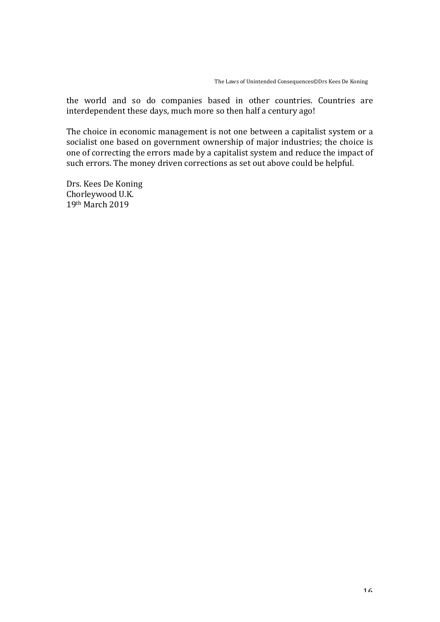the world and so do companies based in other countries. Countries are interdependent these days, much more so then half a century ago!

The choice in economic management is not one between a capitalist system or a socialist one based on government ownership of major industries; the choice is one of correcting the errors made by a capitalist system and reduce the impact of such errors. The money driven corrections as set out above could be helpful.

Drs. Kees De Koning Chorleywood U.K. 19th March 2019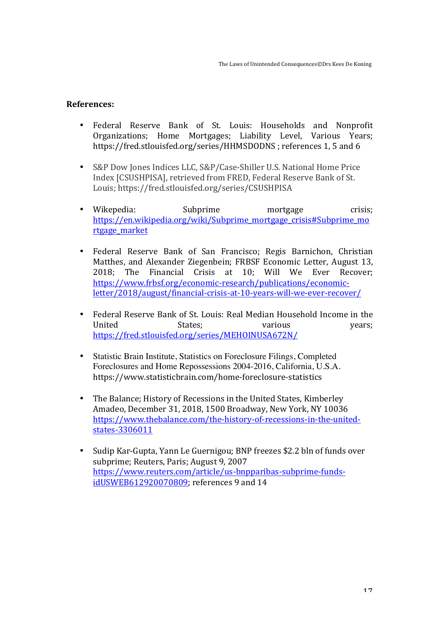#### **References:**

- Federal Reserve Bank of St. Louis: Households and Nonprofit Organizations; Home Mortgages; Liability Level, Various Years; https://fred.stlouisfed.org/series/HHMSDODNS; references 1, 5 and 6
- S&P Dow Jones Indices LLC, S&P/Case-Shiller U.S. National Home Price Index [CSUSHPISA], retrieved from FRED, Federal Reserve Bank of St. Louis; https://fred.stlouisfed.org/series/CSUSHPISA
- Wikepedia: Subprime mortgage crisis; https://en.wikipedia.org/wiki/Subprime\_mortgage\_crisis#Subprime\_mo rtgage\_market
- Federal Reserve Bank of San Francisco; Regis Barnichon, Christian Matthes, and Alexander Ziegenbein; FRBSF Economic Letter, August 13, 2018; The Financial Crisis at 10; Will We Ever Recover; https://www.frbsf.org/economic-research/publications/economicletter/2018/august/financial-crisis-at-10-years-will-we-ever-recover/
- Federal Reserve Bank of St. Louis: Real Median Household Income in the United States; various years; https://fred.stlouisfed.org/series/MEHOINUSA672N/
- Statistic Brain Institute, Statistics on Foreclosure Filings, Completed Foreclosures and Home Repossessions 2004-2016, California, U.S.A. https://www.statisticbrain.com/home-foreclosure-statistics
- The Balance; History of Recessions in the United States, Kimberley Amadeo, December 31, 2018, 1500 Broadway, New York, NY 10036 https://www.thebalance.com/the-history-of-recessions-in-the-unitedstates-3306011
- Sudip Kar-Gupta, Yann Le Guernigou; BNP freezes \$2.2 bln of funds over subprime; Reuters, Paris; August 9, 2007 https://www.reuters.com/article/us-bnpparibas-subprime-fundsidUSWEB612920070809; references 9 and 14